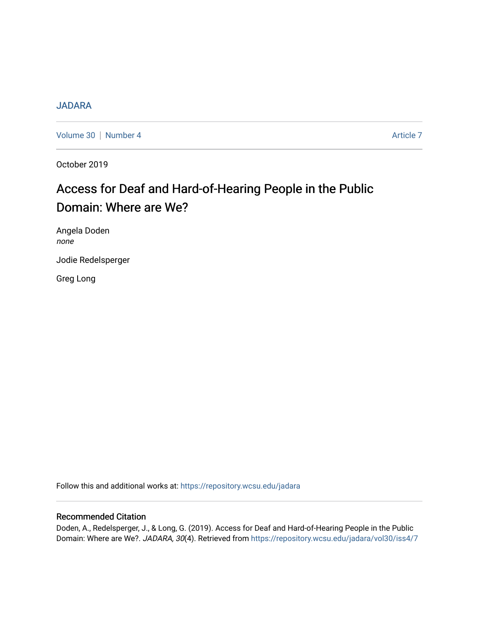### **[JADARA](https://repository.wcsu.edu/jadara)**

[Volume 30](https://repository.wcsu.edu/jadara/vol30) | [Number 4](https://repository.wcsu.edu/jadara/vol30/iss4) Article 7

October 2019

## Access for Deaf and Hard-of-Hearing People in the Public Domain: Where are We?

Angela Doden none

Jodie Redelsperger

Greg Long

Follow this and additional works at: [https://repository.wcsu.edu/jadara](https://repository.wcsu.edu/jadara?utm_source=repository.wcsu.edu%2Fjadara%2Fvol30%2Fiss4%2F7&utm_medium=PDF&utm_campaign=PDFCoverPages)

#### Recommended Citation

Doden, A., Redelsperger, J., & Long, G. (2019). Access for Deaf and Hard-of-Hearing People in the Public Domain: Where are We?. JADARA, 30(4). Retrieved from [https://repository.wcsu.edu/jadara/vol30/iss4/7](https://repository.wcsu.edu/jadara/vol30/iss4/7?utm_source=repository.wcsu.edu%2Fjadara%2Fvol30%2Fiss4%2F7&utm_medium=PDF&utm_campaign=PDFCoverPages)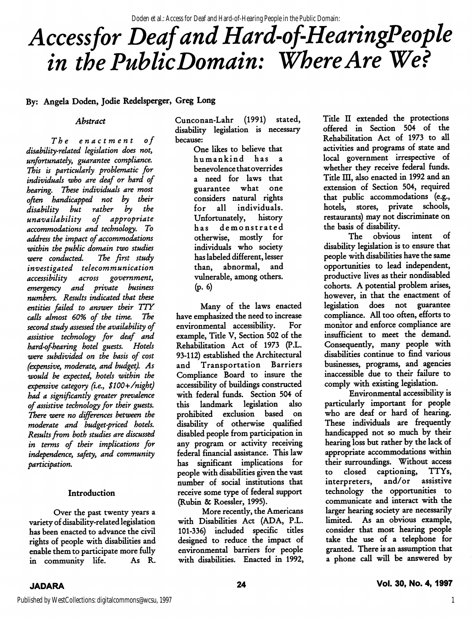Doden et al.: Access for Deaf and Hard-of-Hearing People in the Public Domain:

# Accessfor Deaf and Hard-of-HearingPeople in the Public Domain: Where Are We?

#### By: Angela Doden, Jodie Redelsperger, Greg Long

#### Abstract

The enactment of disability-related legislation does not, unfortunately, guarantee compliance. This is particularly problematic for individuals who are deaf or hard of hearing. These individuals are most often handicapped not by their disability but rather by the of appropriate accommodations and technology. To address the impact of accommodations within the public domain two studies<br>were conducted. The first study were conducted. investigated telecommunication accessibility across government, emergency and private business numbers. Results indicated that these entities failed to answer their TTY calls almost 60% of the time. The second study assessed the availability of assistive technology for deaf and hard-of-hearing hotel guests. Hotels were subdivided on the basis of cost (expensive, moderate, and budget). As would be expected, hotels within the expensive category (i.e.,  $$100+/night)$ had a significantly greater prevalence of assistive technology for their guests. There were no differences between the moderate and budget-priced hotels. Results from both studies are discussed in terms of their implications for independence, safety, and community participation.

#### Introduction

Over the past twenty years a variety of disability-related legislation has been enacted to advance the civil rights of people with disabilities and enable them to participate more fully<br>in community life. As R. in community life.

Cunconan-Lahr (1991) stated, disability legislation is necessary because:

> One likes to believe that humankind has a benevolence that overrides a need for laws that<br>guarantee what one guarantee what considers natural rights for all individuals. Unfortunately, history has demonstrated otherwise, mostly for individuals who society has labeled different, lesser than, abnormal, and vulnerable, among others. (p. 6)

Many of the laws enacted have emphasized the need to increase environmental accessibility. For example. Title V, Section 502 of the Rehabilitation Act of 1973 (P.L. 93-112) established the Architectural and Transportation Barriers Compliance Board to insure the accessibility of buildings constructed with federal funds. Section 504 of<br>this landmark legislation also this landmark legislation prohibited exclusion based on disability of otherwise qualified disabled people from participation in any program or activity receiving federal financial assistance. This law has significant implications for people with disabilities given the vast number of social institutions that receive some type of federal support (Rubin & Roessler, 1995).

More recently, the Americans with Disabilities Act (ADA, P.L. 101-336) included specific titles designed to reduce the impact of environmental barriers for people with disabilities. Enacted in 1992,

Title II extended the protections offered in Section 504 of the Rehabilitation Act of 1973 to all activities and programs of state and local government irrespective of whether they receive federal funds. Title III, also enacted in 1992 and an extension of Section 504, required that public accommodations (e.g., hotels, stores, private schools, restaurants) may not discriminate on the basis of disability.

The obvious intent of disability legislation is to ensure that people with disabilities have the same opportunities to lead independent, productive lives as their nondisabled cohorts. A potential problem arises, however, in that the enactment of legislation does not guarantee compliance. All too often, efforts to monitor and enforce compliance are insufficient to meet the demand. Consequently, many people with disabilities continue to find various businesses, programs, and agencies inaccessible due to their failure to comply with existing legislation.

Environmental accessibility is particularly important for people who are deaf or hard of hearing. These individuals are frequently handicapped not so much by their hearing loss but rather by the lack of appropriate accommodations within their surroundings. Without access to closed captioning, TTYs, interpreters, technology the opportunities to communicate and interact with the larger hearing society are necessarily limited. As an obvious example, consider that most hearing people take the use of a telephone for granted. There is an assumption that a phone call will be answered by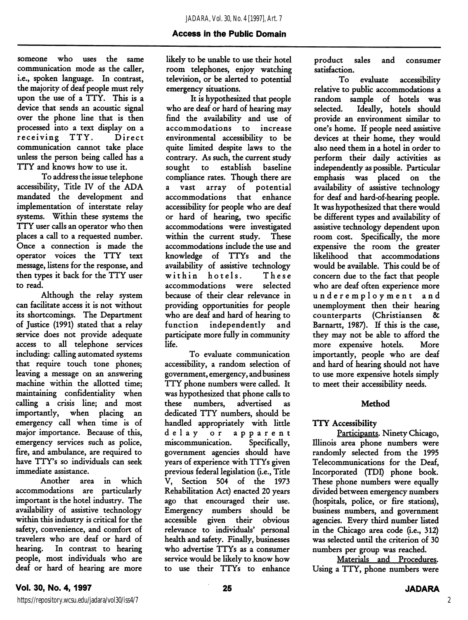### Access in the Public Domain

someone who uses the same communication mode as the caller, i.e., spoken language. In contrast, the majority of deaf people must rely upon the use of a TTY. This is a device that sends an acoustic signal over the phone line that is then processed into a text display on a<br>receiving TTY. Direct receiving TTY. communication cannot take place unless the person being called has a TTY and knows how to use it.

To address the issue telephone accessibility. Title IV of the ADA mandated the development and implementation of interstate relay systems. Within these systems the TTY user calls an operator who then places a call to a requested number. Once a connection is made the operator voices the TTY text message, listens for the response, and then types it back for the TTY user to read.

Although the relay system can facilitate access it is not without its shortcomings. The Department of Justice (1991) stated that a relay service does not provide adequate access to all telephone services including: calling automated systems that require touch tone phones; leaving a message on an answering machine within the allotted time; maintaining confidentiality when calling a crisis line; and most importantly, when placing an emergency call when time is of major importance. Because of this, emergency services such as police, fire, and ambulance, are required to have TTY's so individuals can seek immediate assistance.

Another area in which accommodations are particularly important is the hotel industry. The availability of assistive technology within this industry is critical for the safety, convenience, and comfort of travelers who are deaf or hard of hearing. In contrast to hearing people, most individuals who are deaf or hard of hearing are more likely to be unable to use their hotel room telephones, enjoy watching television, or be alerted to potential emergency situations.

It is hypothesized that people who are deaf or hard of hearing may find the availability and use of accommodations to increase environmental accessibility to be quite limited despite laws to the contrary. As such, the current study sought to establish baseline compliance rates. Though there are a vast array of potential accommodations that enhance accessibility for people who are deaf or hard of hearing, two specific accommodations were investigated within the current study. These accommodations include the use and knowledge of TTYs and the availability of assistive technology within hotels. These accommodations were selected because of their clear relevance in providing opportunities for people who are deaf and hard of hearing to function independently and participate more fully in community life.

To evaluate communication accessibility, a random selection of government, emergency, and business TTY phone numbers were called. It was hypothesized that phone calls to these numbers, advertised as dedicated TTY numbers, should be handled appropriately with little delay or apparent<br>miscommunication. Specifically, miscommunication. government agencies should have years of experience with TTYs given previous federal legislation (i.e.. Title V, Section 504 of the 1973 Rehabilitation Act) enacted 20 years ago that encouraged their use. Emergency numbers should be accessible given their obvious relevance to individuals' personal health and safety. Finally, businesses who advertise TTYs as a consumer service would be likely to know how to use their TTYs to enhance

product sales and consumer satisfaction.

To evaluate accessibility relative to public accommodations a random sample of hotels was<br>selected. Ideally, hotels should Ideally, hotels should provide an environment similar to one's home. If people need assistive devices at their home, they would also need them in a hotel in order to perform their daily activities as independently as possible. Particular emphasis was placed on the availability of assistive technology for deaf and hard-of-hearing people. It was hypothesized that there would be different types and availability of assistive technology dependent upon room cost. Specifically, the more expensive the room the greater likelihood that accommodations would be available. This could be of concern due to the fact that people who are deaf often experience more underemployment and unemployment then their hearing counterparts (Christiansen & Barnartt, 1987). If this is the case, they may not be able to afford the more expensive hotels. More importantly, people who are deaf and hard of hearing should not have to use more expensive hotels simply to meet their accessibility needs.

#### Method

#### TTY Accessibility

Participants. Ninety Chicago, Illinois area phone numbers were randomly selected from the 1995 Telecommunications for the Deaf, Incorporated (TDI) phone book. These phone numbers were equally divided between emergency numbers (hospitals, police, or fire stations), business numbers, and government agencies. Every third number listed in the Chicago area code (i.e., 312) was selected until the criterion of 30 numbers per group was reached.

Materials and Procedures. Using a TTY, phone numbers were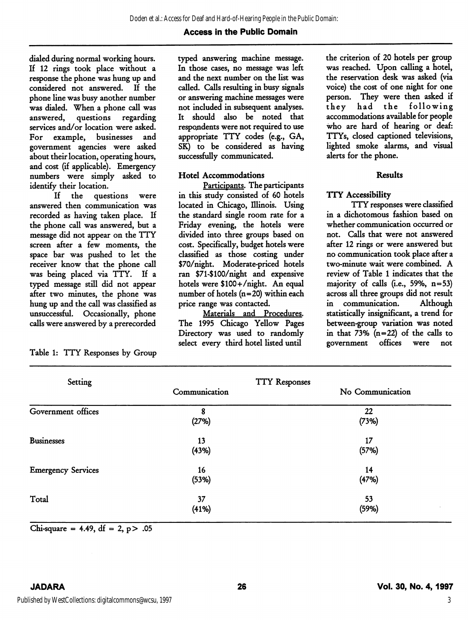### Access in the Public Domain

dialed during normal working hours. If 12 rings took place without a response the phone was hung up and considered not answered. If the phone line was busy another number was dialed. When a phone call was<br>answered, questions regarding questions regarding services and/or location were asked. For example, businesses and government agencies were asked about their location, operating hours, and cost (if applicable). Emergency numbers were simply asked to identify their location.

If the questions were answered then communication was recorded as having taken place. If the phone call was answered, but a message did not appear on the TTY screen after a few moments, the space bar was pushed to let the receiver know that the phone call was being placed via TTY. If a typed message still did not appear after two minutes, the phone was hung up and the call was classified as unsuccessful. Occasionally, phone calls were answered by a prerecorded

Table 1: TTY Responses by Group

typed answering machine message. In those cases, no message was left and the next number on the list was called. Calls resulting in busy signals or answering machine messages were not included in subsequent analyses. It should also be noted that respondents were not required to use appropriate TTY codes (e.g., OA, SK) to be considered as having successfully communicated.

#### Hotel Accommodations

Participants. The participants in this study consisted of 60 hotels located in Chicago, Illinois. Using the standard single room rate for a Friday evening, the hotels were divided into three groups based on cost. Specifically, budget hotels were classified as those costing under \$70/night. Moderate-priced hotels ran \$71-\$100/night and expensive hotels were \$100+/night. An equal number of hotels  $(n=20)$  within each price range was contacted.

Materials and Procedures. The 1995 Chicago Yellow Pages Directory was used to randomly select every third hotel listed until

the criterion of 20 hotels per group was reached. Upon calling a hotel, the reservation desk was asked (via voice) the cost of one night for one person. They were then asked if they had the following accommodations available for people who are hard of hearing or deaf: TTYs, closed captioned televisions, lighted smoke alarms, and visual alerts for the phone.

#### Results

#### TTY Accessibility

TTY responses were classified in a dichotomous fashion based on whether communication occurred or not. Calls that were not answered after 12 rings or were answered but no communication took place after a two-minute wait were combined. A review of Table 1 indicates that the majority of calls (i.e., 59%,  $n=53$ ) across all three groups did not result in communication. Although statistically insignificant, a trend for between-group variation was noted in that  $73\%$  (n=22) of the calls to government offices were not

| Setting                   | <b>TTY Responses</b> |                       |  |  |  |
|---------------------------|----------------------|-----------------------|--|--|--|
|                           | Communication        | No Communication      |  |  |  |
| Government offices        | 8<br>(27%)           | 22<br>(73%)           |  |  |  |
| <b>Businesses</b>         | 13<br>(43%)          | 17<br>(57%)           |  |  |  |
| <b>Emergency Services</b> | 16<br>(53%)          | 14<br>(47%)           |  |  |  |
| Total                     | 37<br>(41%)          | 53<br>(59%)<br>$\sim$ |  |  |  |

Chi-square = 4.49, df = 2,  $p$  > .05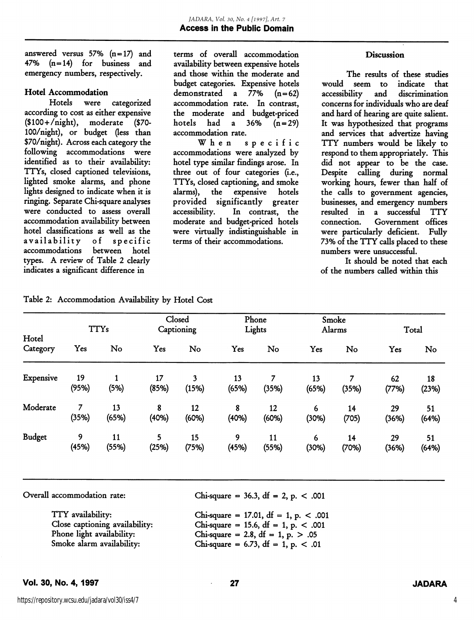answered versus 57% (n=17) and 47% (n=14) for business and emergency numbers, respectively.

#### Hotel Accommodation

Hotels were categorized according to cost as either expensive (\$100+/night), moderate (\$70- 100/night), or budget (less than \$70/night). Across each category the following accommodations were identified as to their availability: TTYs, closed captioned televisions, lighted smoke alarms, and phone lights designed to indicate when it is ringing. Separate Chi-square analyses were conducted to assess overall accommodation availability between hotel classifications as well as the availability of specific between hotel types. A review of Table 2 clearly indicates a significant difference in

terms of overall accommodation availability between expensive hotels and those within the moderate and budget categories. Expensive hotels<br>demonstrated a 77% (n=62) a  $77\%$  (n=62) accommodation rate. In contrast, the moderate and budget-priced hotels had a  $36\%$   $(n=29)$ accommodation rate.<br>W h e n s

specific accommodations were analyzed by hotel type similar findings arose. In three out of four categories (i.e., TTYs, closed captioning, and smoke<br>alarms), the expensive hotels expensive hotels provided significantly greater accessibility. In contrast, the moderate and budget-priced hotels were virtually indistinguishable in terms of their accommodations.

#### **Discussion**

The results of these studies would seem to indicate that accessibility and discrimination concerns for individuals who are deaf and hard of hearing are quite salient. It was hypothesized that programs and services that advertize having TTY numbers would be likely to respond to them appropriately. This did not appear to be the case. Despite calling during normal working hours, fewer than half of the calls to government agencies, businesses, and emergency numbers resulted in a successful TTY Government offices were particularly deficient. Fully 73% of the TTY calls placed to these numbers were unsuccessful.

It should be noted that each of the numbers called within this

| Hotel<br>Category | <b>TTYs</b> |             | Closed<br>Captioning |             | Phone<br>Lights |             | Smoke<br>Alarms |             | Total       |             |
|-------------------|-------------|-------------|----------------------|-------------|-----------------|-------------|-----------------|-------------|-------------|-------------|
|                   | Yes         | No          | Yes                  | No          | Yes             | No          | Yes             | No          | Yes         | No          |
| Expensive         | 19<br>(95%) | (5%)        | 17<br>(85%)          | 3<br>(15%)  | 13<br>(65%)     | (35%)       | 13<br>(65%)     | (35%)       | 62<br>(77%) | 18<br>(23%) |
| Moderate          | (35%)       | 13<br>(65%) | 8<br>(40%)           | 12<br>(60%) | 8<br>(40%)      | 12<br>(60%) | 6<br>(30%)      | 14<br>(705) | 29<br>(36%) | 51<br>(64%) |
| <b>Budget</b>     | 9<br>(45%)  | 11<br>(55%) | 5<br>(25%)           | 15<br>(75%) | 9<br>(45%)      | 11<br>(55%) | 6<br>(30%)      | 14<br>(70%) | 29<br>(36%) | 51<br>(64%) |

Table 2: Accommodation Availability by Hotel Cost

Overall accommodation rate:

Chi-square = 36.3, df = 2, p.  $< .001$ 

| TTY availability:              | Chi-square = 17.01, df = 1, p. $< .001$  |
|--------------------------------|------------------------------------------|
| Close captioning availability: | Chi-square = 15.6, df = 1, p. $< .001$   |
| Phone light availability:      | Chi-square = 2.8, df = 1, p. $> .05$     |
| Smoke alarm availability:      | Chi-square = $6.73$ , df = 1, p. $< .01$ |